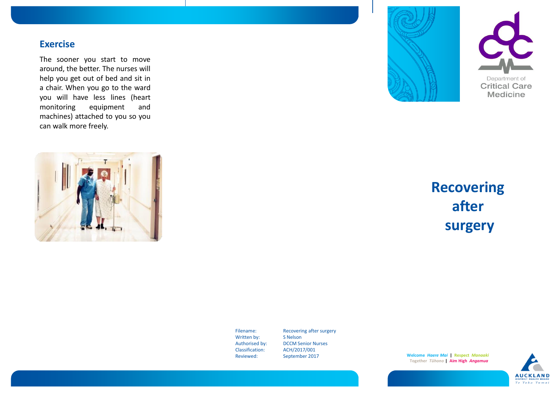## **Exercise**

The sooner you start to move around, the better. The nurses will help you get out of bed and sit in a chair. When you go to the ward you will have less lines (heart monitoring equipment and machines) attached to you so you can walk more freely.







# **Recovering after surgery**

Written by: S Nelson Classification: ACH/2017/001<br>Reviewed: September 201

Filename: Recovering after surgery Authorised by: DCCM Senior Nurses<br>Classification: ACH/2017/001 September 2017

**Welcome** *Haere Mai* **| Respect** *Manaaki* **Together** *Tūhono* **| Aim High** *Angamua*